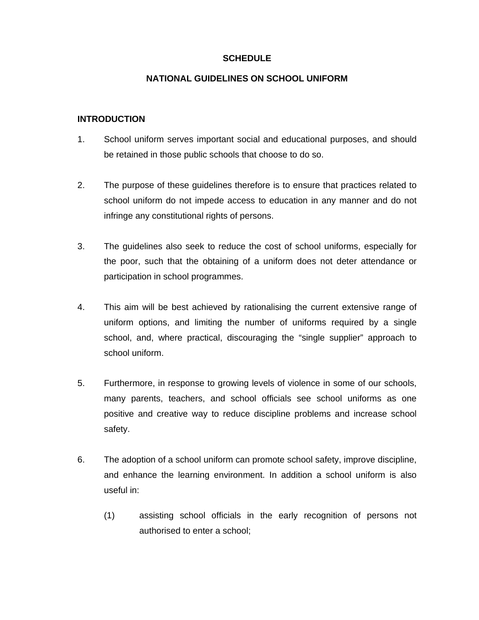### **SCHEDULE**

#### **NATIONAL GUIDELINES ON SCHOOL UNIFORM**

### **INTRODUCTION**

- 1. School uniform serves important social and educational purposes, and should be retained in those public schools that choose to do so.
- 2. The purpose of these guidelines therefore is to ensure that practices related to school uniform do not impede access to education in any manner and do not infringe any constitutional rights of persons.
- 3. The guidelines also seek to reduce the cost of school uniforms, especially for the poor, such that the obtaining of a uniform does not deter attendance or participation in school programmes.
- 4. This aim will be best achieved by rationalising the current extensive range of uniform options, and limiting the number of uniforms required by a single school, and, where practical, discouraging the "single supplier" approach to school uniform.
- 5. Furthermore, in response to growing levels of violence in some of our schools, many parents, teachers, and school officials see school uniforms as one positive and creative way to reduce discipline problems and increase school safety.
- 6. The adoption of a school uniform can promote school safety, improve discipline, and enhance the learning environment. In addition a school uniform is also useful in:
	- (1) assisting school officials in the early recognition of persons not authorised to enter a school;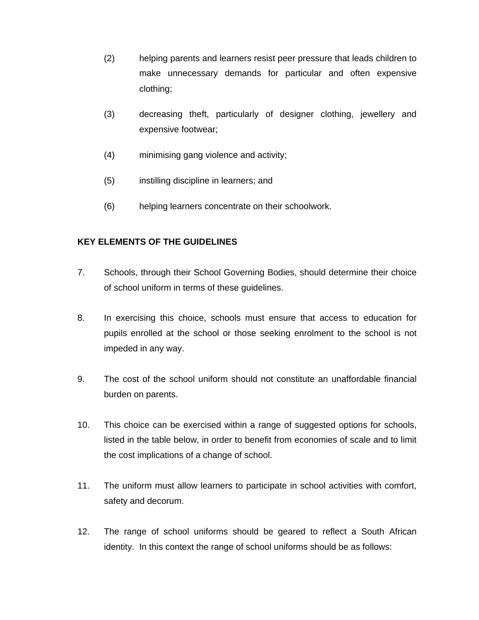- (2) helping parents and learners resist peer pressure that leads children to make unnecessary demands for particular and often expensive clothing;
- (3) decreasing theft, particularly of designer clothing, jewellery and expensive footwear;
- (4) minimising gang violence and activity;
- (5) instilling discipline in learners; and
- (6) helping learners concentrate on their schoolwork.

# **KEY ELEMENTS OF THE GUIDELINES**

- 7. Schools, through their School Governing Bodies, should determine their choice of school uniform in terms of these guidelines.
- 8. In exercising this choice, schools must ensure that access to education for pupils enrolled at the school or those seeking enrolment to the school is not impeded in any way.
- 9. The cost of the school uniform should not constitute an unaffordable financial burden on parents.
- 10. This choice can be exercised within a range of suggested options for schools, listed in the table below, in order to benefit from economies of scale and to limit the cost implications of a change of school.
- 11. The uniform must allow learners to participate in school activities with comfort, safety and decorum.
- 12. The range of school uniforms should be geared to reflect a South African identity. In this context the range of school uniforms should be as follows: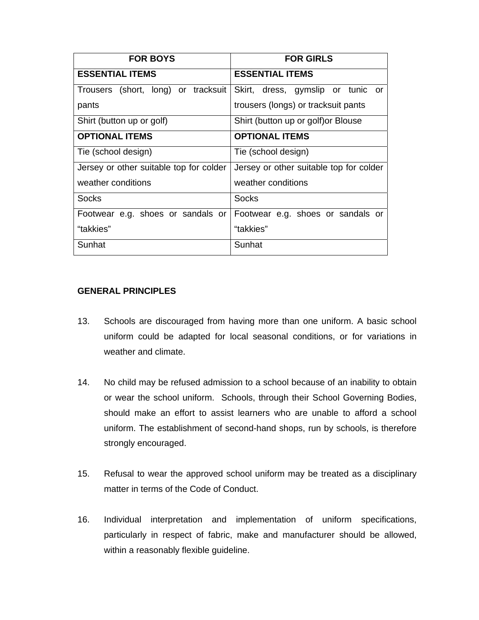| <b>FOR BOYS</b>                         | <b>FOR GIRLS</b>                        |
|-----------------------------------------|-----------------------------------------|
| <b>ESSENTIAL ITEMS</b>                  | <b>ESSENTIAL ITEMS</b>                  |
| Trousers (short, long) or tracksuit     | Skirt, dress, gymslip or tunic<br>or    |
| pants                                   | trousers (longs) or tracksuit pants     |
| Shirt (button up or golf)               | Shirt (button up or golf) or Blouse     |
| <b>OPTIONAL ITEMS</b>                   | <b>OPTIONAL ITEMS</b>                   |
| Tie (school design)                     | Tie (school design)                     |
| Jersey or other suitable top for colder | Jersey or other suitable top for colder |
| weather conditions                      | weather conditions                      |
| Socks                                   | <b>Socks</b>                            |
| Footwear e.g. shoes or sandals or       | Footwear e.g. shoes or sandals or       |
| "takkies"                               | "takkies"                               |
| Sunhat                                  | Sunhat                                  |

## **GENERAL PRINCIPLES**

- 13. Schools are discouraged from having more than one uniform. A basic school uniform could be adapted for local seasonal conditions, or for variations in weather and climate.
- 14. No child may be refused admission to a school because of an inability to obtain or wear the school uniform. Schools, through their School Governing Bodies, should make an effort to assist learners who are unable to afford a school uniform. The establishment of second-hand shops, run by schools, is therefore strongly encouraged.
- 15. Refusal to wear the approved school uniform may be treated as a disciplinary matter in terms of the Code of Conduct.
- 16. Individual interpretation and implementation of uniform specifications, particularly in respect of fabric, make and manufacturer should be allowed, within a reasonably flexible guideline.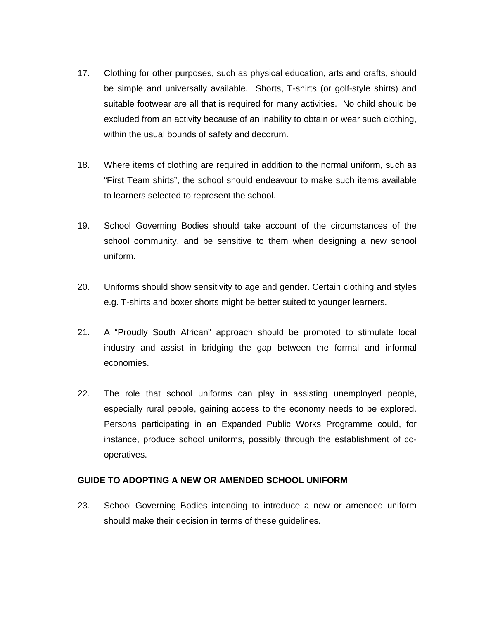- 17. Clothing for other purposes, such as physical education, arts and crafts, should be simple and universally available. Shorts, T-shirts (or golf-style shirts) and suitable footwear are all that is required for many activities. No child should be excluded from an activity because of an inability to obtain or wear such clothing, within the usual bounds of safety and decorum.
- 18. Where items of clothing are required in addition to the normal uniform, such as "First Team shirts", the school should endeavour to make such items available to learners selected to represent the school.
- 19. School Governing Bodies should take account of the circumstances of the school community, and be sensitive to them when designing a new school uniform.
- 20. Uniforms should show sensitivity to age and gender. Certain clothing and styles e.g. T-shirts and boxer shorts might be better suited to younger learners.
- 21. A "Proudly South African" approach should be promoted to stimulate local industry and assist in bridging the gap between the formal and informal economies.
- 22. The role that school uniforms can play in assisting unemployed people, especially rural people, gaining access to the economy needs to be explored. Persons participating in an Expanded Public Works Programme could, for instance, produce school uniforms, possibly through the establishment of cooperatives.

#### **GUIDE TO ADOPTING A NEW OR AMENDED SCHOOL UNIFORM**

23. School Governing Bodies intending to introduce a new or amended uniform should make their decision in terms of these guidelines.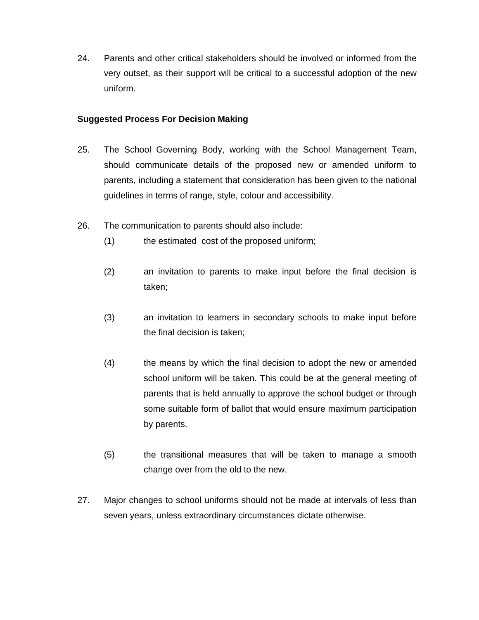24. Parents and other critical stakeholders should be involved or informed from the very outset, as their support will be critical to a successful adoption of the new uniform.

## **Suggested Process For Decision Making**

- 25. The School Governing Body, working with the School Management Team, should communicate details of the proposed new or amended uniform to parents, including a statement that consideration has been given to the national guidelines in terms of range, style, colour and accessibility.
- 26. The communication to parents should also include:
	- (1) the estimated cost of the proposed uniform;
	- (2) an invitation to parents to make input before the final decision is taken;
	- (3) an invitation to learners in secondary schools to make input before the final decision is taken;
	- (4) the means by which the final decision to adopt the new or amended school uniform will be taken. This could be at the general meeting of parents that is held annually to approve the school budget or through some suitable form of ballot that would ensure maximum participation by parents.
	- (5) the transitional measures that will be taken to manage a smooth change over from the old to the new.
- 27. Major changes to school uniforms should not be made at intervals of less than seven years, unless extraordinary circumstances dictate otherwise.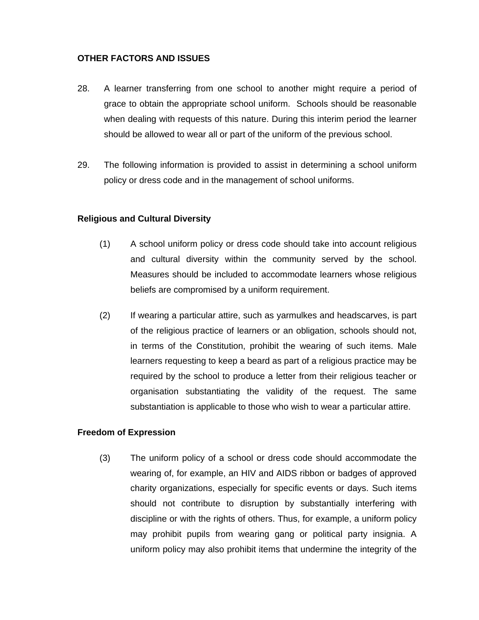## **OTHER FACTORS AND ISSUES**

- 28. A learner transferring from one school to another might require a period of grace to obtain the appropriate school uniform. Schools should be reasonable when dealing with requests of this nature. During this interim period the learner should be allowed to wear all or part of the uniform of the previous school.
- 29. The following information is provided to assist in determining a school uniform policy or dress code and in the management of school uniforms.

## **Religious and Cultural Diversity**

- (1) A school uniform policy or dress code should take into account religious and cultural diversity within the community served by the school. Measures should be included to accommodate learners whose religious beliefs are compromised by a uniform requirement.
- (2) If wearing a particular attire, such as yarmulkes and headscarves, is part of the religious practice of learners or an obligation, schools should not, in terms of the Constitution, prohibit the wearing of such items. Male learners requesting to keep a beard as part of a religious practice may be required by the school to produce a letter from their religious teacher or organisation substantiating the validity of the request. The same substantiation is applicable to those who wish to wear a particular attire.

#### **Freedom of Expression**

(3) The uniform policy of a school or dress code should accommodate the wearing of, for example, an HIV and AIDS ribbon or badges of approved charity organizations, especially for specific events or days. Such items should not contribute to disruption by substantially interfering with discipline or with the rights of others. Thus, for example, a uniform policy may prohibit pupils from wearing gang or political party insignia. A uniform policy may also prohibit items that undermine the integrity of the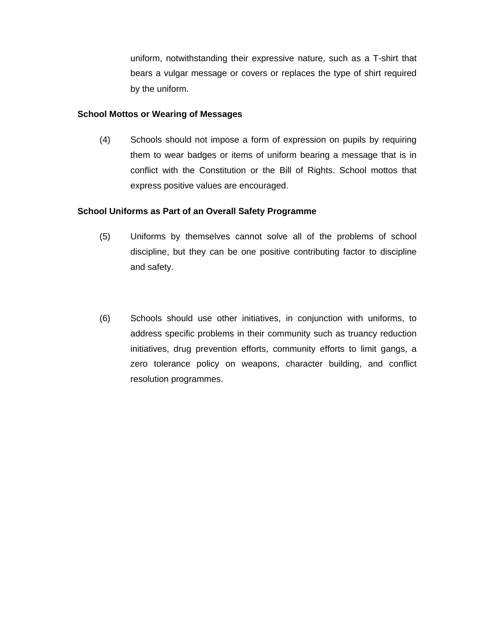uniform, notwithstanding their expressive nature, such as a T-shirt that bears a vulgar message or covers or replaces the type of shirt required by the uniform.

#### **School Mottos or Wearing of Messages**

(4) Schools should not impose a form of expression on pupils by requiring them to wear badges or items of uniform bearing a message that is in conflict with the Constitution or the Bill of Rights. School mottos that express positive values are encouraged.

#### **School Uniforms as Part of an Overall Safety Programme**

- (5) Uniforms by themselves cannot solve all of the problems of school discipline, but they can be one positive contributing factor to discipline and safety.
- (6) Schools should use other initiatives, in conjunction with uniforms, to address specific problems in their community such as truancy reduction initiatives, drug prevention efforts, community efforts to limit gangs, a zero tolerance policy on weapons, character building, and conflict resolution programmes.